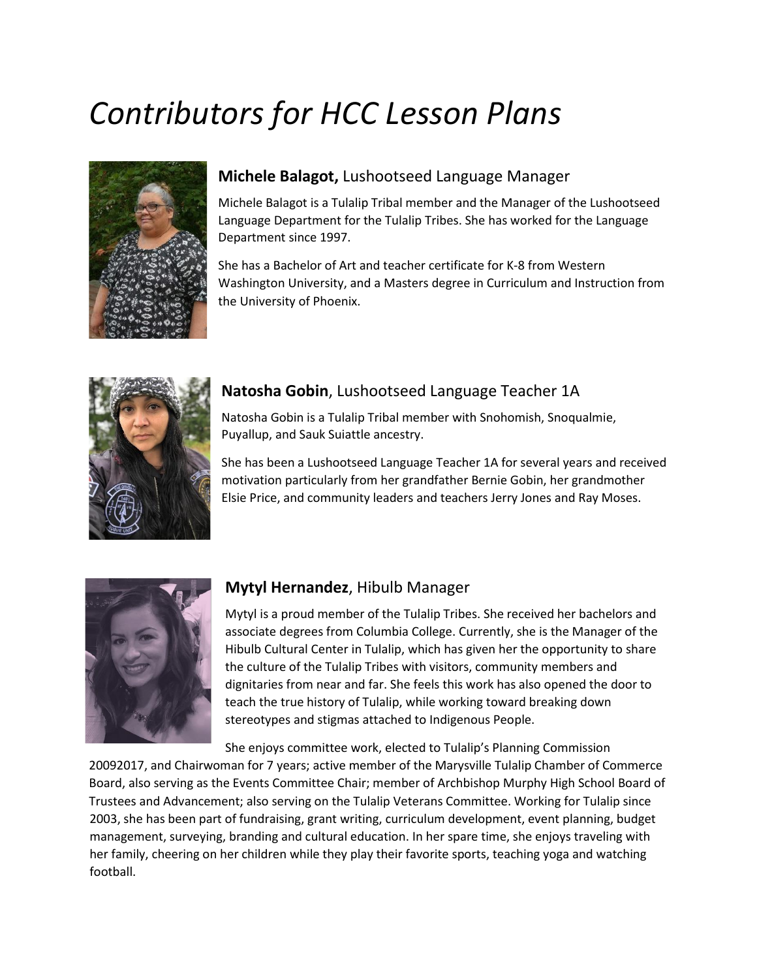# *Contributors for HCC Lesson Plans*



#### **Michele Balagot,** Lushootseed Language Manager

Michele Balagot is a Tulalip Tribal member and the Manager of the Lushootseed Language Department for the Tulalip Tribes. She has worked for the Language Department since 1997.

She has a Bachelor of Art and teacher certificate for K-8 from Western Washington University, and a Masters degree in Curriculum and Instruction from the University of Phoenix.



# **Natosha Gobin**, Lushootseed Language Teacher 1A

Natosha Gobin is a Tulalip Tribal member with Snohomish, Snoqualmie, Puyallup, and Sauk Suiattle ancestry.

She has been a Lushootseed Language Teacher 1A for several years and received motivation particularly from her grandfather Bernie Gobin, her grandmother Elsie Price, and community leaders and teachers Jerry Jones and Ray Moses.



#### **Mytyl Hernandez**, Hibulb Manager

Mytyl is a proud member of the Tulalip Tribes. She received her bachelors and associate degrees from Columbia College. Currently, she is the Manager of the Hibulb Cultural Center in Tulalip, which has given her the opportunity to share the culture of the Tulalip Tribes with visitors, community members and dignitaries from near and far. She feels this work has also opened the door to teach the true history of Tulalip, while working toward breaking down stereotypes and stigmas attached to Indigenous People.

She enjoys committee work, elected to Tulalip's Planning Commission

20092017, and Chairwoman for 7 years; active member of the Marysville Tulalip Chamber of Commerce Board, also serving as the Events Committee Chair; member of Archbishop Murphy High School Board of Trustees and Advancement; also serving on the Tulalip Veterans Committee. Working for Tulalip since 2003, she has been part of fundraising, grant writing, curriculum development, event planning, budget management, surveying, branding and cultural education. In her spare time, she enjoys traveling with her family, cheering on her children while they play their favorite sports, teaching yoga and watching football.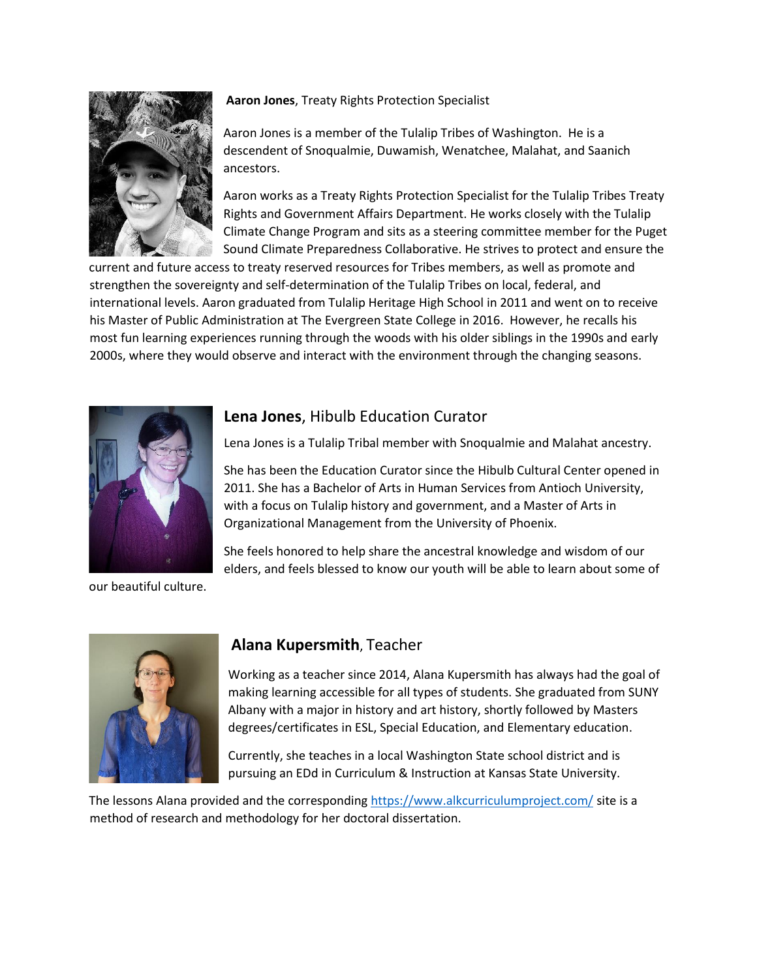

#### **Aaron Jones**, Treaty Rights Protection Specialist

Aaron Jones is a member of the Tulalip Tribes of Washington. He is a descendent of Snoqualmie, Duwamish, Wenatchee, Malahat, and Saanich ancestors.

Aaron works as a Treaty Rights Protection Specialist for the Tulalip Tribes Treaty Rights and Government Affairs Department. He works closely with the Tulalip Climate Change Program and sits as a steering committee member for the Puget Sound Climate Preparedness Collaborative. He strives to protect and ensure the

current and future access to treaty reserved resources for Tribes members, as well as promote and strengthen the sovereignty and self-determination of the Tulalip Tribes on local, federal, and international levels. Aaron graduated from Tulalip Heritage High School in 2011 and went on to receive his Master of Public Administration at The Evergreen State College in 2016. However, he recalls his most fun learning experiences running through the woods with his older siblings in the 1990s and early 2000s, where they would observe and interact with the environment through the changing seasons.



#### **Lena Jones**, Hibulb Education Curator

Lena Jones is a Tulalip Tribal member with Snoqualmie and Malahat ancestry.

She has been the Education Curator since the Hibulb Cultural Center opened in 2011. She has a Bachelor of Arts in Human Services from Antioch University, with a focus on Tulalip history and government, and a Master of Arts in Organizational Management from the University of Phoenix.

She feels honored to help share the ancestral knowledge and wisdom of our elders, and feels blessed to know our youth will be able to learn about some of

our beautiful culture.



#### **Alana Kupersmith**, Teacher

Working as a teacher since 2014, Alana Kupersmith has always had the goal of making learning accessible for all types of students. She graduated from SUNY Albany with a major in history and art history, shortly followed by Masters degrees/certificates in ESL, Special Education, and Elementary education.

Currently, she teaches in a local Washington State school district and is pursuing an EDd in Curriculum & Instruction at Kansas State University.

The lessons Alana provided and the corresponding<https://www.alkcurriculumproject.com/> site is a method of research and methodology for her doctoral dissertation.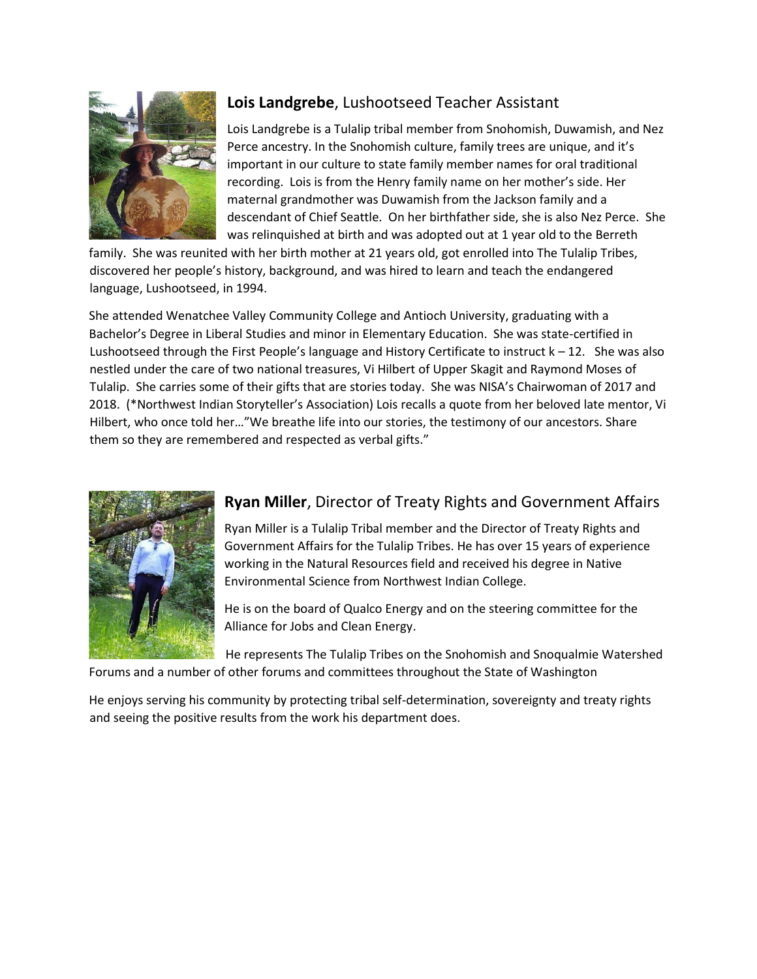

# **Lois Landgrebe**, Lushootseed Teacher Assistant

Lois Landgrebe is a Tulalip tribal member from Snohomish, Duwamish, and Nez Perce ancestry. In the Snohomish culture, family trees are unique, and it's important in our culture to state family member names for oral traditional recording. Lois is from the Henry family name on her mother's side. Her maternal grandmother was Duwamish from the Jackson family and a descendant of Chief Seattle. On her birthfather side, she is also Nez Perce. She was relinquished at birth and was adopted out at 1 year old to the Berreth

family. She was reunited with her birth mother at 21 years old, got enrolled into The Tulalip Tribes, discovered her people's history, background, and was hired to learn and teach the endangered language, Lushootseed, in 1994.

She attended Wenatchee Valley Community College and Antioch University, graduating with a Bachelor's Degree in Liberal Studies and minor in Elementary Education. She was state-certified in Lushootseed through the First People's language and History Certificate to instruct  $k - 12$ . She was also nestled under the care of two national treasures, Vi Hilbert of Upper Skagit and Raymond Moses of Tulalip. She carries some of their gifts that are stories today. She was NISA's Chairwoman of 2017 and 2018. (\*Northwest Indian Storyteller's Association) Lois recalls a quote from her beloved late mentor, Vi Hilbert, who once told her…"We breathe life into our stories, the testimony of our ancestors. Share them so they are remembered and respected as verbal gifts."



# **Ryan Miller**, Director of Treaty Rights and Government Affairs

Ryan Miller is a Tulalip Tribal member and the Director of Treaty Rights and Government Affairs for the Tulalip Tribes. He has over 15 years of experience working in the Natural Resources field and received his degree in Native Environmental Science from Northwest Indian College.

He is on the board of Qualco Energy and on the steering committee for the Alliance for Jobs and Clean Energy.

He represents The Tulalip Tribes on the Snohomish and Snoqualmie Watershed Forums and a number of other forums and committees throughout the State of Washington

He enjoys serving his community by protecting tribal self-determination, sovereignty and treaty rights and seeing the positive results from the work his department does.